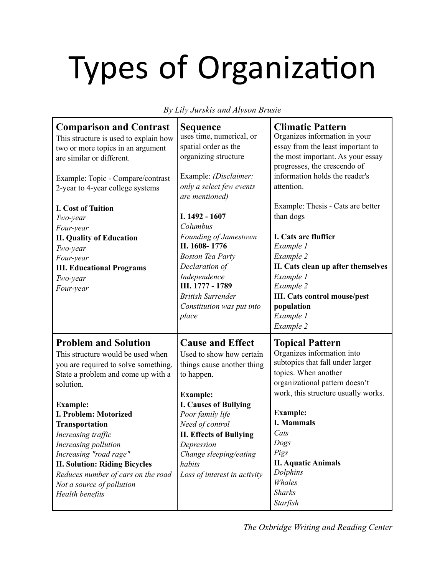## Types of Organization

*By Lily Jurskis and Alyson Brusie*

| <b>Comparison and Contrast</b><br>This structure is used to explain how<br>two or more topics in an argument<br>are similar or different.<br>Example: Topic - Compare/contrast<br>2-year to 4-year college systems<br><b>I. Cost of Tuition</b><br>Two-year<br>Four-year<br><b>II. Quality of Education</b><br>Two-year<br>Four-year<br><b>III. Educational Programs</b><br>Two-year<br>Four-year                                      | <b>Sequence</b><br>uses time, numerical, or<br>spatial order as the<br>organizing structure<br>Example: (Disclaimer:<br>only a select few events<br>are mentioned)<br>I. 1492 - 1607<br>Columbus<br>Founding of Jamestown<br>II. 1608-1776<br><b>Boston Tea Party</b><br>Declaration of<br>Independence<br>III. 1777 - 1789<br><b>British Surrender</b><br>Constitution was put into<br>place | <b>Climatic Pattern</b><br>Organizes information in your<br>essay from the least important to<br>the most important. As your essay<br>progresses, the crescendo of<br>information holds the reader's<br>attention.<br>Example: Thesis - Cats are better<br>than dogs<br>I. Cats are fluffier<br>Example 1<br>Example 2<br>II. Cats clean up after themselves<br>Example 1<br>Example 2<br><b>III. Cats control mouse/pest</b><br>population<br>Example 1<br>Example 2 |
|----------------------------------------------------------------------------------------------------------------------------------------------------------------------------------------------------------------------------------------------------------------------------------------------------------------------------------------------------------------------------------------------------------------------------------------|-----------------------------------------------------------------------------------------------------------------------------------------------------------------------------------------------------------------------------------------------------------------------------------------------------------------------------------------------------------------------------------------------|-----------------------------------------------------------------------------------------------------------------------------------------------------------------------------------------------------------------------------------------------------------------------------------------------------------------------------------------------------------------------------------------------------------------------------------------------------------------------|
| <b>Problem and Solution</b><br>This structure would be used when<br>you are required to solve something.<br>State a problem and come up with a<br>solution.<br><b>Example:</b><br>I. Problem: Motorized<br><b>Transportation</b><br>Increasing traffic<br>Increasing pollution<br>Increasing "road rage"<br><b>II. Solution: Riding Bicycles</b><br>Reduces number of cars on the road<br>Not a source of pollution<br>Health benefits | <b>Cause and Effect</b><br>Used to show how certain<br>things cause another thing<br>to happen.<br><b>Example:</b><br><b>I. Causes of Bullying</b><br>Poor family life<br>Need of control<br><b>II. Effects of Bullying</b><br>Depression<br>Change sleeping/eating<br>habits<br>Loss of interest in activity                                                                                 | <b>Topical Pattern</b><br>Organizes information into<br>subtopics that fall under larger<br>topics. When another<br>organizational pattern doesn't<br>work, this structure usually works.<br><b>Example:</b><br><b>I. Mammals</b><br>Cats<br>Dogs<br>Pigs<br><b>II. Aquatic Animals</b><br>Dolphins<br>Whales<br><b>Sharks</b><br><b>Starfish</b>                                                                                                                     |

*The Oxbridge Writing and Reading Center*